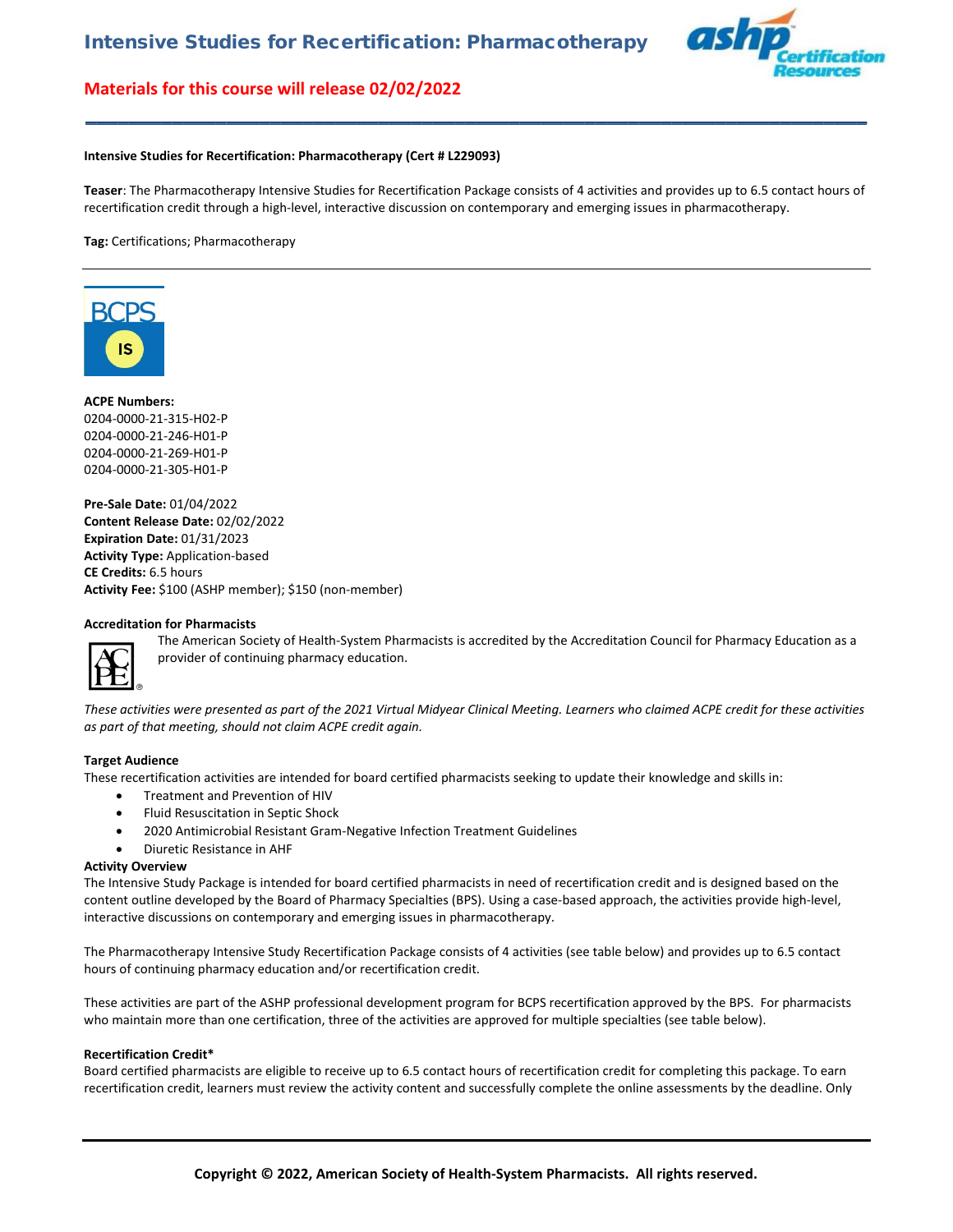

#### **Intensive Studies for Recertification: Pharmacotherapy (Cert # L229093)**

**Teaser**: The Pharmacotherapy Intensive Studies for Recertification Package consists of 4 activities and provides up to 6.5 contact hours of recertification credit through a high-level, interactive discussion on contemporary and emerging issues in pharmacotherapy.

**\_\_\_\_\_\_\_\_\_\_\_\_\_\_\_\_\_\_\_\_\_\_\_\_\_\_\_\_\_\_\_\_\_\_\_\_\_\_\_\_\_\_\_\_\_\_\_\_\_\_\_\_\_\_\_\_\_\_\_\_\_\_\_\_\_\_\_\_\_\_\_\_**

**Tag:** Certifications; Pharmacotherapy



### **ACPE Numbers:**

0204-0000-21-315-H02-P 0204-0000-21-246-H01-P 0204-0000-21-269-H01-P 0204-0000-21-305-H01-P

**Pre-Sale Date:** 01/04/2022 **Content Release Date:** 02/02/2022 **Expiration Date:** 01/31/2023 **Activity Type:** Application-based **CE Credits:** 6.5 hours **Activity Fee:** \$100 (ASHP member); \$150 (non-member)

#### **Accreditation for Pharmacists**



The American Society of Health-System Pharmacists is accredited by the Accreditation Council for Pharmacy Education as a provider of continuing pharmacy education.

*These activities were presented as part of the 2021 Virtual Midyear Clinical Meeting. Learners who claimed ACPE credit for these activities as part of that meeting, should not claim ACPE credit again.*

#### **Target Audience**

These recertification activities are intended for board certified pharmacists seeking to update their knowledge and skills in:

- Treatment and Prevention of HIV
- Fluid Resuscitation in Septic Shock
- 2020 Antimicrobial Resistant Gram-Negative Infection Treatment Guidelines
- Diuretic Resistance in AHF

#### **Activity Overview**

The Intensive Study Package is intended for board certified pharmacists in need of recertification credit and is designed based on the content outline developed by the Board of Pharmacy Specialties (BPS). Using a case-based approach, the activities provide high-level, interactive discussions on contemporary and emerging issues in pharmacotherapy.

The Pharmacotherapy Intensive Study Recertification Package consists of 4 activities (see table below) and provides up to 6.5 contact hours of continuing pharmacy education and/or recertification credit.

These activities are part of the ASHP professional development program for BCPS recertification approved by the BPS. For pharmacists who maintain more than one certification, three of the activities are approved for multiple specialties (see table below).

#### **Recertification Credit\***

Board certified pharmacists are eligible to receive up to 6.5 contact hours of recertification credit for completing this package. To earn recertification credit, learners must review the activity content and successfully complete the online assessments by the deadline. Only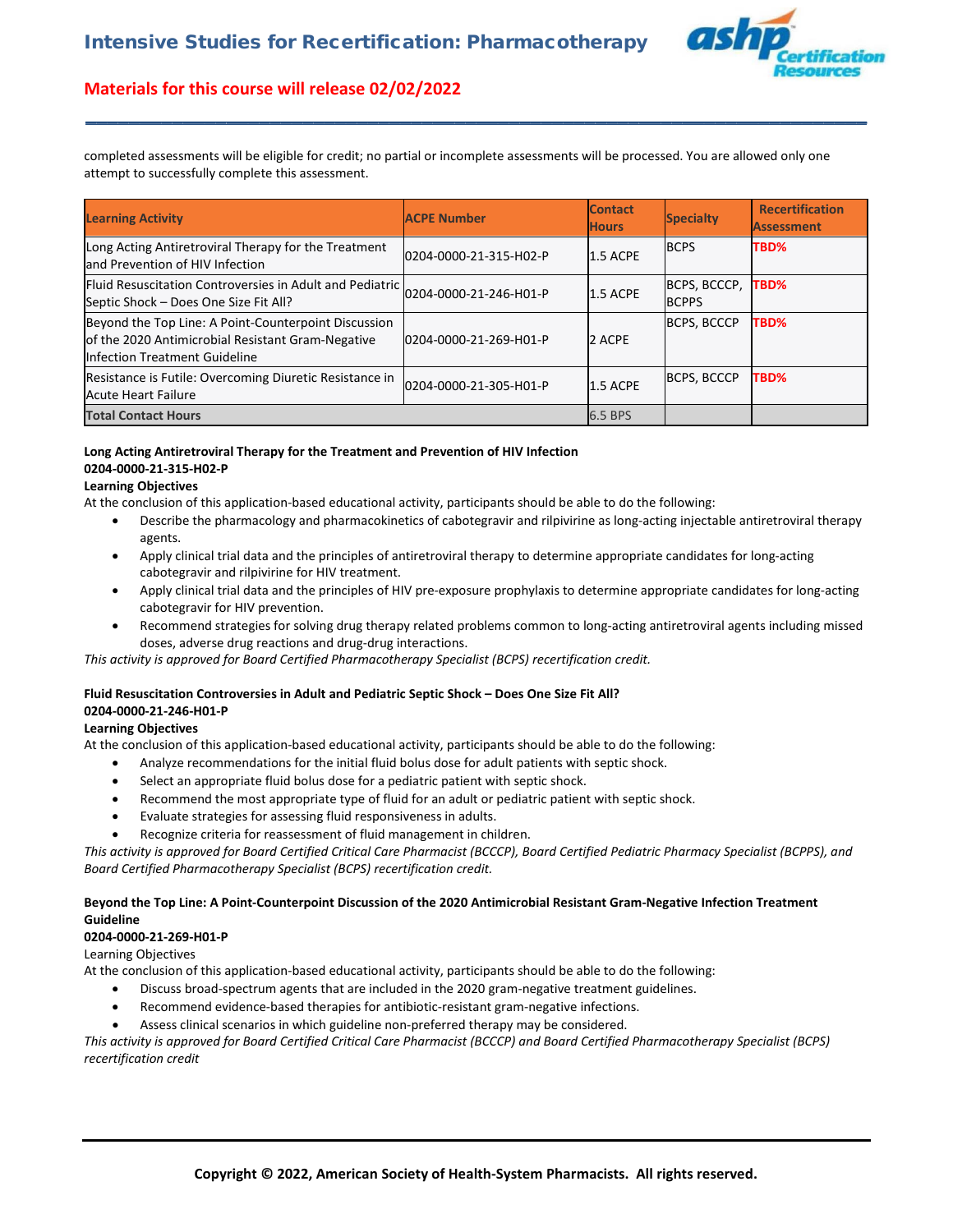

completed assessments will be eligible for credit; no partial or incomplete assessments will be processed. You are allowed only one attempt to successfully complete this assessment.

**\_\_\_\_\_\_\_\_\_\_\_\_\_\_\_\_\_\_\_\_\_\_\_\_\_\_\_\_\_\_\_\_\_\_\_\_\_\_\_\_\_\_\_\_\_\_\_\_\_\_\_\_\_\_\_\_\_\_\_\_\_\_\_\_\_\_\_\_\_\_\_\_**

| <b>Learning Activity</b>                                                                                                                   | <b>ACPE Number</b>     | <b>Contact</b><br><b>Hours</b> | <b>Specialty</b>             | <b>Recertification</b><br><b>Assessment</b> |
|--------------------------------------------------------------------------------------------------------------------------------------------|------------------------|--------------------------------|------------------------------|---------------------------------------------|
| Long Acting Antiretroviral Therapy for the Treatment<br>and Prevention of HIV Infection                                                    | 0204-0000-21-315-H02-P | 1.5 ACPE                       | <b>BCPS</b>                  | TBD%                                        |
| Fluid Resuscitation Controversies in Adult and Pediatric 0204-0000-21-246-H01-P<br>Septic Shock - Does One Size Fit All?                   |                        | 1.5 ACPE                       | BCPS, BCCCP,<br><b>BCPPS</b> | TBD%                                        |
| Beyond the Top Line: A Point-Counterpoint Discussion<br>of the 2020 Antimicrobial Resistant Gram-Negative<br>Infection Treatment Guideline | 0204-0000-21-269-H01-P | 2 ACPE                         | <b>BCPS, BCCCP</b>           | TBD%                                        |
| Resistance is Futile: Overcoming Diuretic Resistance in<br><b>Acute Heart Failure</b>                                                      | 0204-0000-21-305-H01-P | 1.5 ACPE                       | <b>BCPS, BCCCP</b>           | TBD%                                        |
| <b>Total Contact Hours</b>                                                                                                                 |                        | 6.5 BPS                        |                              |                                             |

# **Long Acting Antiretroviral Therapy for the Treatment and Prevention of HIV Infection 0204-0000-21-315-H02-P**

### **Learning Objectives**

At the conclusion of this application-based educational activity, participants should be able to do the following:

- Describe the pharmacology and pharmacokinetics of cabotegravir and rilpivirine as long-acting injectable antiretroviral therapy agents.
- Apply clinical trial data and the principles of antiretroviral therapy to determine appropriate candidates for long-acting cabotegravir and rilpivirine for HIV treatment.
- Apply clinical trial data and the principles of HIV pre-exposure prophylaxis to determine appropriate candidates for long-acting cabotegravir for HIV prevention.
- Recommend strategies for solving drug therapy related problems common to long-acting antiretroviral agents including missed doses, adverse drug reactions and drug-drug interactions.

*This activity is approved for Board Certified Pharmacotherapy Specialist (BCPS) recertification credit.*

# **Fluid Resuscitation Controversies in Adult and Pediatric Septic Shock – Does One Size Fit All?**

# **0204-0000-21-246-H01-P**

# **Learning Objectives**

At the conclusion of this application-based educational activity, participants should be able to do the following:

- Analyze recommendations for the initial fluid bolus dose for adult patients with septic shock.
- Select an appropriate fluid bolus dose for a pediatric patient with septic shock.
- Recommend the most appropriate type of fluid for an adult or pediatric patient with septic shock.
- Evaluate strategies for assessing fluid responsiveness in adults.
- Recognize criteria for reassessment of fluid management in children.

*This activity is approved for Board Certified Critical Care Pharmacist (BCCCP), Board Certified Pediatric Pharmacy Specialist (BCPPS), and Board Certified Pharmacotherapy Specialist (BCPS) recertification credit.*

# **Beyond the Top Line: A Point-Counterpoint Discussion of the 2020 Antimicrobial Resistant Gram-Negative Infection Treatment Guideline**

# **0204-0000-21-269-H01-P**

Learning Objectives

At the conclusion of this application-based educational activity, participants should be able to do the following:

- Discuss broad-spectrum agents that are included in the 2020 gram-negative treatment guidelines.
- Recommend evidence-based therapies for antibiotic-resistant gram-negative infections.
- Assess clinical scenarios in which guideline non-preferred therapy may be considered.

*This activity is approved for Board Certified Critical Care Pharmacist (BCCCP) and Board Certified Pharmacotherapy Specialist (BCPS) recertification credit*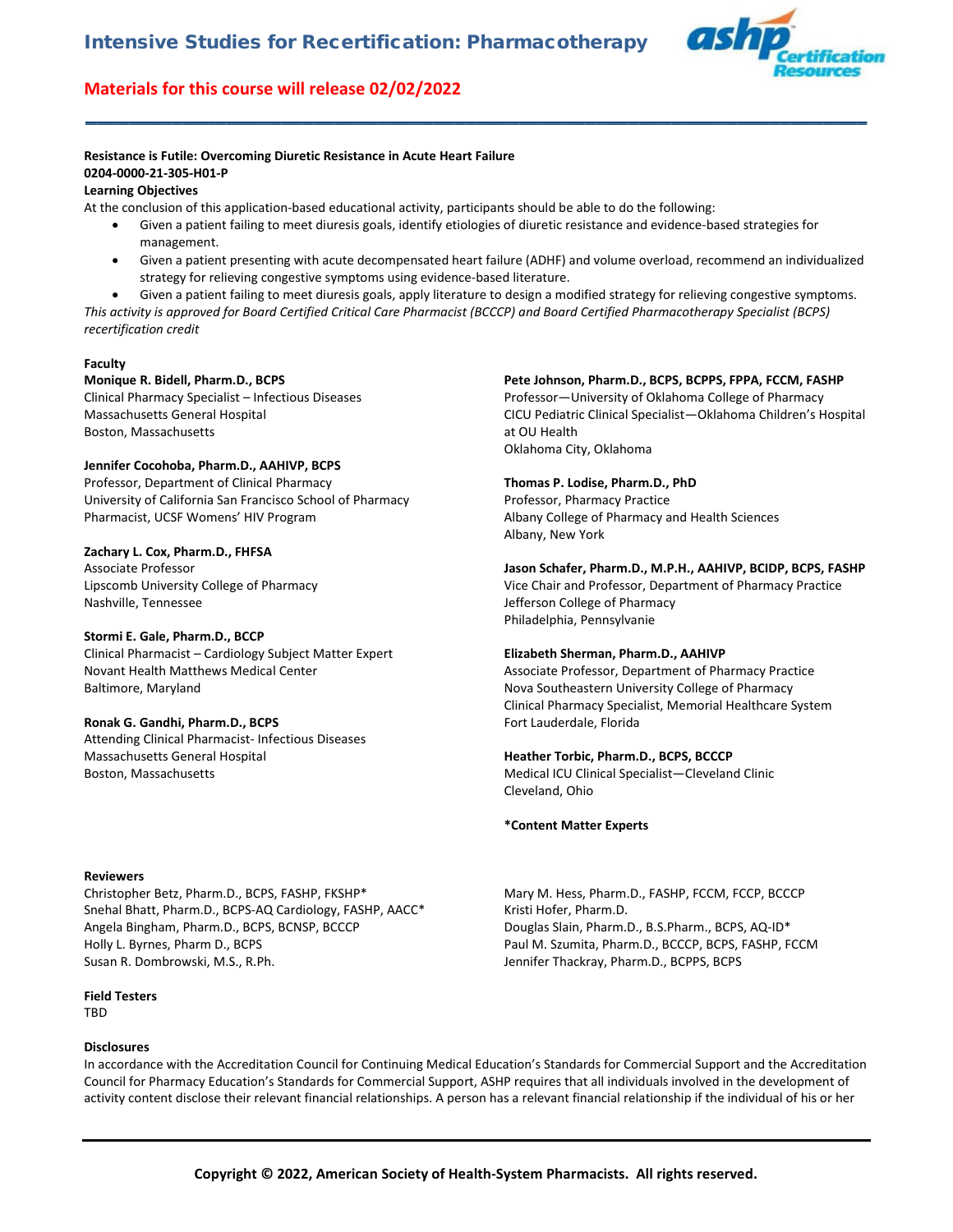

# **Resistance is Futile: Overcoming Diuretic Resistance in Acute Heart Failure 0204-0000-21-305-H01-P**

# **Learning Objectives**

At the conclusion of this application-based educational activity, participants should be able to do the following:

• Given a patient failing to meet diuresis goals, identify etiologies of diuretic resistance and evidence-based strategies for management.

**\_\_\_\_\_\_\_\_\_\_\_\_\_\_\_\_\_\_\_\_\_\_\_\_\_\_\_\_\_\_\_\_\_\_\_\_\_\_\_\_\_\_\_\_\_\_\_\_\_\_\_\_\_\_\_\_\_\_\_\_\_\_\_\_\_\_\_\_\_\_\_\_**

- Given a patient presenting with acute decompensated heart failure (ADHF) and volume overload, recommend an individualized strategy for relieving congestive symptoms using evidence-based literature.
- Given a patient failing to meet diuresis goals, apply literature to design a modified strategy for relieving congestive symptoms. *This activity is approved for Board Certified Critical Care Pharmacist (BCCCP) and Board Certified Pharmacotherapy Specialist (BCPS) recertification credit*

### **Faculty**

# **Monique R. Bidell, Pharm.D., BCPS**

Clinical Pharmacy Specialist – Infectious Diseases Massachusetts General Hospital Boston, Massachusetts

# **Jennifer Cocohoba, Pharm.D., AAHIVP, BCPS**

Professor, Department of Clinical Pharmacy University of California San Francisco School of Pharmacy Pharmacist, UCSF Womens' HIV Program

# **Zachary L. Cox, Pharm.D., FHFSA**

Associate Professor Lipscomb University College of Pharmacy Nashville, Tennessee

# **Stormi E. Gale, Pharm.D., BCCP**

Clinical Pharmacist – Cardiology Subject Matter Expert Novant Health Matthews Medical Center Baltimore, Maryland

# **Ronak G. Gandhi, Pharm.D., BCPS**

Attending Clinical Pharmacist- Infectious Diseases Massachusetts General Hospital Boston, Massachusetts

# **Reviewers**

Christopher Betz, Pharm.D., BCPS, FASHP, FKSHP\* Snehal Bhatt, Pharm.D., BCPS-AQ Cardiology, FASHP, AACC\* Angela Bingham, Pharm.D., BCPS, BCNSP, BCCCP Holly L. Byrnes, Pharm D., BCPS Susan R. Dombrowski, M.S., R.Ph.

#### **Field Testers**

**TRD** 

#### **Disclosures**

**Pete Johnson, Pharm.D., BCPS, BCPPS, FPPA, FCCM, FASHP**

Professor—University of Oklahoma College of Pharmacy CICU Pediatric Clinical Specialist—Oklahoma Children's Hospital at OU Health Oklahoma City, Oklahoma

### **Thomas P. Lodise, Pharm.D., PhD**

Professor, Pharmacy Practice Albany College of Pharmacy and Health Sciences Albany, New York

**Jason Schafer, Pharm.D., M.P.H., AAHIVP, BCIDP, BCPS, FASHP** Vice Chair and Professor, Department of Pharmacy Practice Jefferson College of Pharmacy Philadelphia, Pennsylvanie

# **Elizabeth Sherman, Pharm.D., AAHIVP**

Associate Professor, Department of Pharmacy Practice Nova Southeastern University College of Pharmacy Clinical Pharmacy Specialist, Memorial Healthcare System Fort Lauderdale, Florida

#### **Heather Torbic, Pharm.D., BCPS, BCCCP**

Medical ICU Clinical Specialist—Cleveland Clinic Cleveland, Ohio

#### **\*Content Matter Experts**

Mary M. Hess, Pharm.D., FASHP, FCCM, FCCP, BCCCP Kristi Hofer, Pharm.D. Douglas Slain, Pharm.D., B.S.Pharm., BCPS, AQ-ID\* Paul M. Szumita, Pharm.D., BCCCP, BCPS, FASHP, FCCM Jennifer Thackray, Pharm.D., BCPPS, BCPS

In accordance with the Accreditation Council for Continuing Medical Education's Standards for Commercial Support and the Accreditation Council for Pharmacy Education's Standards for Commercial Support, ASHP requires that all individuals involved in the development of activity content disclose their relevant financial relationships. A person has a relevant financial relationship if the individual of his or her